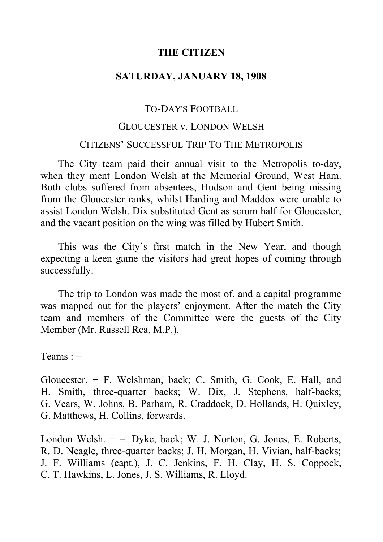### **THE CITIZEN**

# **SATURDAY, JANUARY 18, 1908**

#### TO-DAY'S FOOTBALL

# GLOUCESTER v. LONDON WELSH

#### CITIZENS' SUCCESSFUL TRIP TO THE METROPOLIS

The City team paid their annual visit to the Metropolis to-day, when they ment London Welsh at the Memorial Ground, West Ham. Both clubs suffered from absentees, Hudson and Gent being missing from the Gloucester ranks, whilst Harding and Maddox were unable to assist London Welsh. Dix substituted Gent as scrum half for Gloucester, and the vacant position on the wing was filled by Hubert Smith.

This was the City's first match in the New Year, and though expecting a keen game the visitors had great hopes of coming through successfully.

The trip to London was made the most of, and a capital programme was mapped out for the players' enjoyment. After the match the City team and members of the Committee were the guests of the City Member (Mr. Russell Rea, M.P.).

Teams : −

Gloucester. − F. Welshman, back; C. Smith, G. Cook, E. Hall, and H. Smith, three-quarter backs; W. Dix, J. Stephens, half-backs; G. Vears, W. Johns, B. Parham, R. Craddock, D. Hollands, H. Quixley, G. Matthews, H. Collins, forwards.

London Welsh. − ‒. Dyke, back; W. J. Norton, G. Jones, E. Roberts, R. D. Neagle, three-quarter backs; J. H. Morgan, H. Vivian, half-backs; J. F. Williams (capt.), J. C. Jenkins, F. H. Clay, H. S. Coppock, C. T. Hawkins, L. Jones, J. S. Williams, R. Lloyd.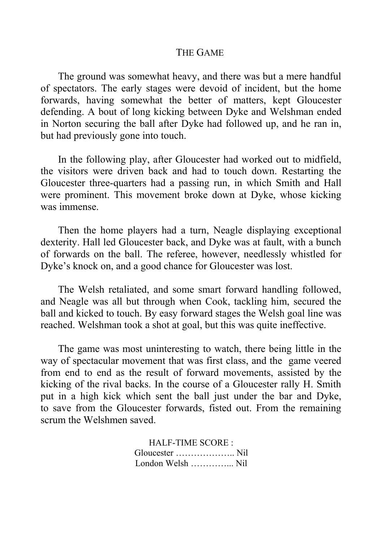#### THE GAME

The ground was somewhat heavy, and there was but a mere handful of spectators. The early stages were devoid of incident, but the home forwards, having somewhat the better of matters, kept Gloucester defending. A bout of long kicking between Dyke and Welshman ended in Norton securing the ball after Dyke had followed up, and he ran in, but had previously gone into touch.

In the following play, after Gloucester had worked out to midfield, the visitors were driven back and had to touch down. Restarting the Gloucester three-quarters had a passing run, in which Smith and Hall were prominent. This movement broke down at Dyke, whose kicking was immense.

Then the home players had a turn, Neagle displaying exceptional dexterity. Hall led Gloucester back, and Dyke was at fault, with a bunch of forwards on the ball. The referee, however, needlessly whistled for Dyke's knock on, and a good chance for Gloucester was lost.

The Welsh retaliated, and some smart forward handling followed, and Neagle was all but through when Cook, tackling him, secured the ball and kicked to touch. By easy forward stages the Welsh goal line was reached. Welshman took a shot at goal, but this was quite ineffective.

The game was most uninteresting to watch, there being little in the way of spectacular movement that was first class, and the game veered from end to end as the result of forward movements, assisted by the kicking of the rival backs. In the course of a Gloucester rally H. Smith put in a high kick which sent the ball just under the bar and Dyke, to save from the Gloucester forwards, fisted out. From the remaining scrum the Welshmen saved.

> HALF-TIME SCORE : Gloucester ……………….. Nil London Welsh …………... Nil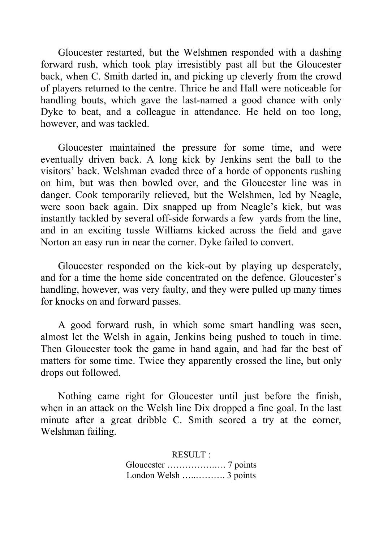Gloucester restarted, but the Welshmen responded with a dashing forward rush, which took play irresistibly past all but the Gloucester back, when C. Smith darted in, and picking up cleverly from the crowd of players returned to the centre. Thrice he and Hall were noticeable for handling bouts, which gave the last-named a good chance with only Dyke to beat, and a colleague in attendance. He held on too long, however, and was tackled.

Gloucester maintained the pressure for some time, and were eventually driven back. A long kick by Jenkins sent the ball to the visitors' back. Welshman evaded three of a horde of opponents rushing on him, but was then bowled over, and the Gloucester line was in danger. Cook temporarily relieved, but the Welshmen, led by Neagle, were soon back again. Dix snapped up from Neagle's kick, but was instantly tackled by several off-side forwards a few yards from the line, and in an exciting tussle Williams kicked across the field and gave Norton an easy run in near the corner. Dyke failed to convert.

Gloucester responded on the kick-out by playing up desperately, and for a time the home side concentrated on the defence. Gloucester's handling, however, was very faulty, and they were pulled up many times for knocks on and forward passes.

A good forward rush, in which some smart handling was seen, almost let the Welsh in again, Jenkins being pushed to touch in time. Then Gloucester took the game in hand again, and had far the best of matters for some time. Twice they apparently crossed the line, but only drops out followed.

Nothing came right for Gloucester until just before the finish, when in an attack on the Welsh line Dix dropped a fine goal. In the last minute after a great dribble C. Smith scored a try at the corner, Welshman failing.

> RESULT : Gloucester …………….…. 7 points London Welsh ….............. 3 points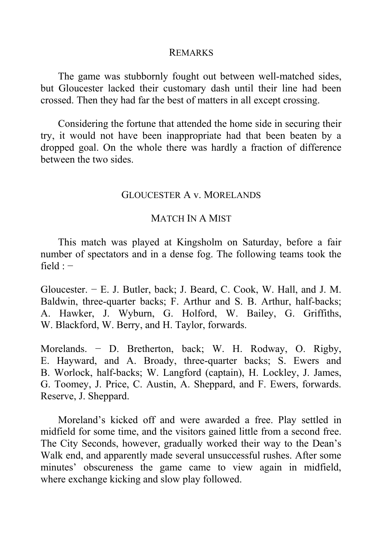#### REMARKS

The game was stubbornly fought out between well-matched sides, but Gloucester lacked their customary dash until their line had been crossed. Then they had far the best of matters in all except crossing.

Considering the fortune that attended the home side in securing their try, it would not have been inappropriate had that been beaten by a dropped goal. On the whole there was hardly a fraction of difference between the two sides.

#### GLOUCESTER A v. MORELANDS

### MATCH IN A MIST

This match was played at Kingsholm on Saturday, before a fair number of spectators and in a dense fog. The following teams took the  $field : -$ 

Gloucester. − E. J. Butler, back; J. Beard, C. Cook, W. Hall, and J. M. Baldwin, three-quarter backs; F. Arthur and S. B. Arthur, half-backs; A. Hawker, J. Wyburn, G. Holford, W. Bailey, G. Griffiths, W. Blackford, W. Berry, and H. Taylor, forwards.

Morelands. − D. Bretherton, back; W. H. Rodway, O. Rigby, E. Hayward, and A. Broady, three-quarter backs; S. Ewers and B. Worlock, half-backs; W. Langford (captain), H. Lockley, J. James, G. Toomey, J. Price, C. Austin, A. Sheppard, and F. Ewers, forwards. Reserve, J. Sheppard.

Moreland's kicked off and were awarded a free. Play settled in midfield for some time, and the visitors gained little from a second free. The City Seconds, however, gradually worked their way to the Dean's Walk end, and apparently made several unsuccessful rushes. After some minutes' obscureness the game came to view again in midfield, where exchange kicking and slow play followed.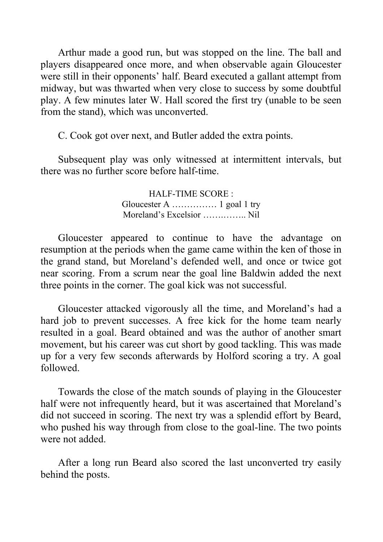Arthur made a good run, but was stopped on the line. The ball and players disappeared once more, and when observable again Gloucester were still in their opponents' half. Beard executed a gallant attempt from midway, but was thwarted when very close to success by some doubtful play. A few minutes later W. Hall scored the first try (unable to be seen from the stand), which was unconverted.

C. Cook got over next, and Butler added the extra points.

Subsequent play was only witnessed at intermittent intervals, but there was no further score before half-time.

> HALF-TIME SCORE : Gloucester A …………… 1 goal 1 try Moreland's Excelsior …….…….. Nil

Gloucester appeared to continue to have the advantage on resumption at the periods when the game came within the ken of those in the grand stand, but Moreland's defended well, and once or twice got near scoring. From a scrum near the goal line Baldwin added the next three points in the corner. The goal kick was not successful.

Gloucester attacked vigorously all the time, and Moreland's had a hard job to prevent successes. A free kick for the home team nearly resulted in a goal. Beard obtained and was the author of another smart movement, but his career was cut short by good tackling. This was made up for a very few seconds afterwards by Holford scoring a try. A goal followed.

Towards the close of the match sounds of playing in the Gloucester half were not infrequently heard, but it was ascertained that Moreland's did not succeed in scoring. The next try was a splendid effort by Beard, who pushed his way through from close to the goal-line. The two points were not added.

After a long run Beard also scored the last unconverted try easily behind the posts.